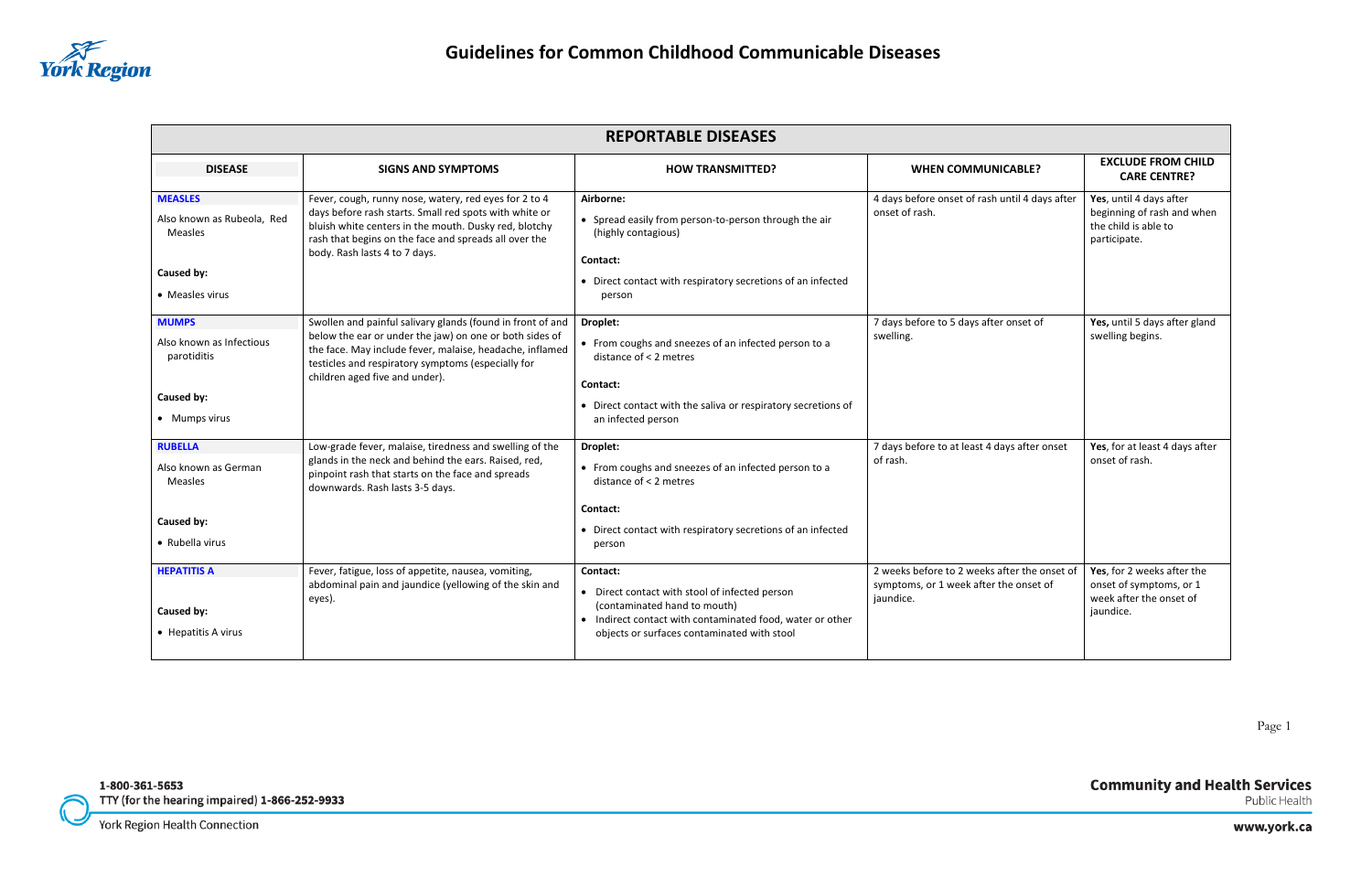

# **Community and Health Services**<br>Public Health

www.york.ca

| <b>REPORTABLE DISEASES</b>                                                                      |                                                                                                                                                                                                                                                                           |                                                                                                                                                                                                        |                                                                                                     |                                                                                               |
|-------------------------------------------------------------------------------------------------|---------------------------------------------------------------------------------------------------------------------------------------------------------------------------------------------------------------------------------------------------------------------------|--------------------------------------------------------------------------------------------------------------------------------------------------------------------------------------------------------|-----------------------------------------------------------------------------------------------------|-----------------------------------------------------------------------------------------------|
| <b>DISEASE</b>                                                                                  | <b>SIGNS AND SYMPTOMS</b>                                                                                                                                                                                                                                                 | <b>HOW TRANSMITTED?</b>                                                                                                                                                                                | <b>WHEN COMMUNICABLE?</b>                                                                           | <b>EXCLUDE FROM CHILD</b><br><b>CARE CENTRE?</b>                                              |
| <b>MEASLES</b><br>Also known as Rubeola, Red<br><b>Measles</b><br>Caused by:<br>• Measles virus | Fever, cough, runny nose, watery, red eyes for 2 to 4<br>days before rash starts. Small red spots with white or<br>bluish white centers in the mouth. Dusky red, blotchy<br>rash that begins on the face and spreads all over the<br>body. Rash lasts 4 to 7 days.        | Airborne:<br>• Spread easily from person-to-person through the air<br>(highly contagious)<br>Contact:<br>• Direct contact with respiratory secretions of an infected<br>person                         | 4 days before onset of rash until 4 days after<br>onset of rash.                                    | Yes, until 4 days after<br>beginning of rash and when<br>the child is able to<br>participate. |
| <b>MUMPS</b><br>Also known as Infectious<br>parotiditis<br>Caused by:<br>• Mumps virus          | Swollen and painful salivary glands (found in front of and<br>below the ear or under the jaw) on one or both sides of<br>the face. May include fever, malaise, headache, inflamed<br>testicles and respiratory symptoms (especially for<br>children aged five and under). | Droplet:<br>• From coughs and sneezes of an infected person to a<br>distance of < 2 metres<br>Contact:<br>• Direct contact with the saliva or respiratory secretions of<br>an infected person          | 7 days before to 5 days after onset of<br>swelling.                                                 | Yes, until 5 days after gland<br>swelling begins.                                             |
| <b>RUBELLA</b><br>Also known as German<br><b>Measles</b><br>Caused by:<br>• Rubella virus       | Low-grade fever, malaise, tiredness and swelling of the<br>glands in the neck and behind the ears. Raised, red,<br>pinpoint rash that starts on the face and spreads<br>downwards. Rash lasts 3-5 days.                                                                   | Droplet:<br>• From coughs and sneezes of an infected person to a<br>distance of < 2 metres<br>Contact:<br>• Direct contact with respiratory secretions of an infected<br>person                        | 7 days before to at least 4 days after onset<br>of rash.                                            | Yes, for at least 4 days after<br>onset of rash.                                              |
| <b>HEPATITIS A</b><br>Caused by:<br>• Hepatitis A virus                                         | Fever, fatigue, loss of appetite, nausea, vomiting,<br>abdominal pain and jaundice (yellowing of the skin and<br>eyes).                                                                                                                                                   | Contact:<br>• Direct contact with stool of infected person<br>(contaminated hand to mouth)<br>• Indirect contact with contaminated food, water or other<br>objects or surfaces contaminated with stool | 2 weeks before to 2 weeks after the onset of<br>symptoms, or 1 week after the onset of<br>jaundice. | Yes, for 2 weeks after the<br>onset of symptoms, or 1<br>week after the onset of<br>jaundice. |

1-800-361-5653 TTY (for the hearing impaired) 1-866-252-9933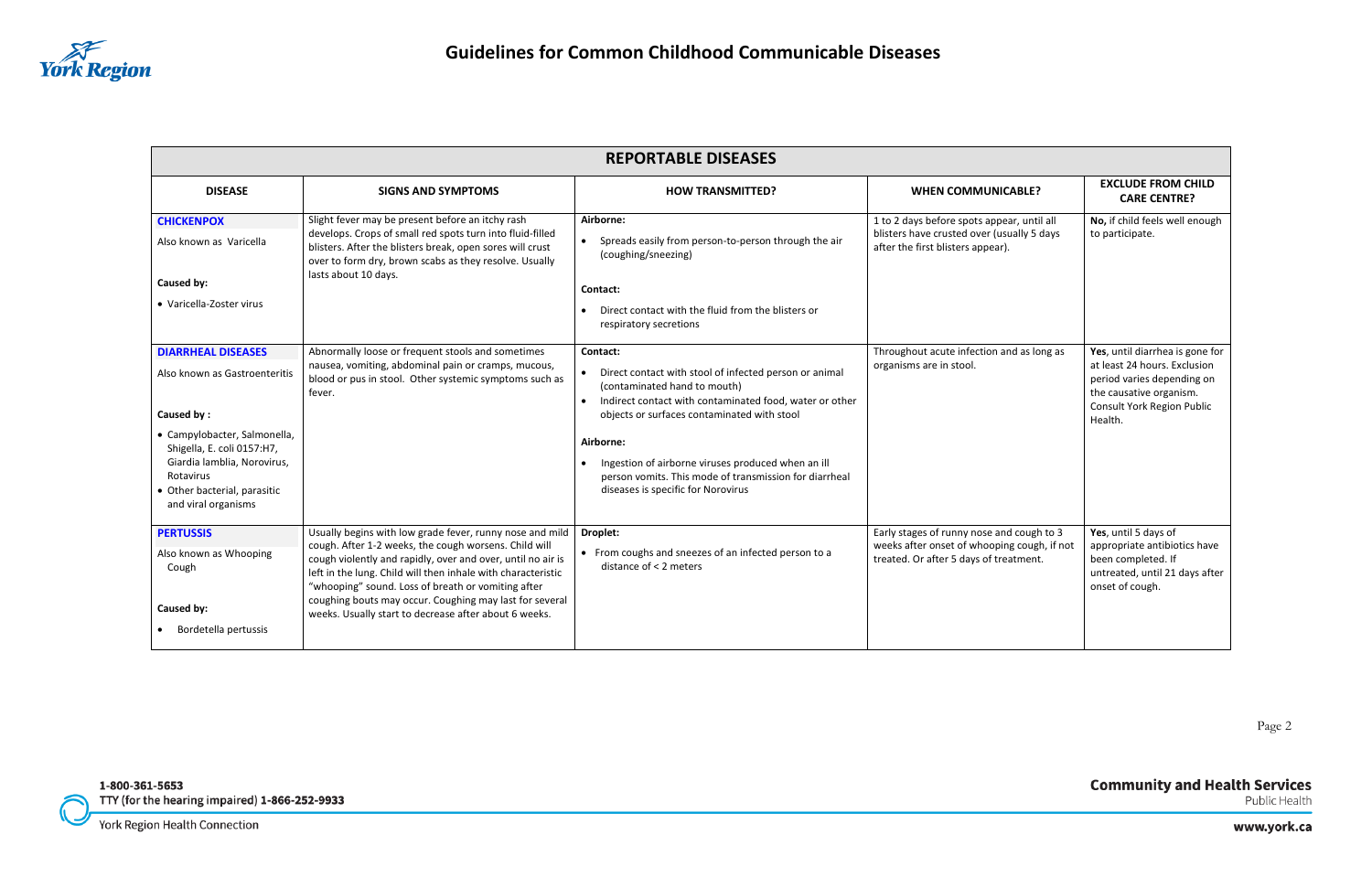

# **Community and Health Services**<br>Public Health

www.york.ca

| <b>REPORTABLE DISEASES</b>                                                                                                                                                                                                                       |                                                                                                                                                                                                                                                                                                                                                                                                                            |                                                                                                                                                                                                                                                                                                                                                                                   |                                                                                                                                    |                                                                                                                                                                   |
|--------------------------------------------------------------------------------------------------------------------------------------------------------------------------------------------------------------------------------------------------|----------------------------------------------------------------------------------------------------------------------------------------------------------------------------------------------------------------------------------------------------------------------------------------------------------------------------------------------------------------------------------------------------------------------------|-----------------------------------------------------------------------------------------------------------------------------------------------------------------------------------------------------------------------------------------------------------------------------------------------------------------------------------------------------------------------------------|------------------------------------------------------------------------------------------------------------------------------------|-------------------------------------------------------------------------------------------------------------------------------------------------------------------|
| <b>DISEASE</b>                                                                                                                                                                                                                                   | <b>SIGNS AND SYMPTOMS</b>                                                                                                                                                                                                                                                                                                                                                                                                  | <b>HOW TRANSMITTED?</b>                                                                                                                                                                                                                                                                                                                                                           | <b>WHEN COMMUNICABLE?</b>                                                                                                          | <b>EXCLUDE FROM CHILD</b><br><b>CARE CENTRE?</b>                                                                                                                  |
| <b>CHICKENPOX</b><br>Also known as Varicella<br>Caused by:<br>• Varicella-Zoster virus                                                                                                                                                           | Slight fever may be present before an itchy rash<br>develops. Crops of small red spots turn into fluid-filled<br>blisters. After the blisters break, open sores will crust<br>over to form dry, brown scabs as they resolve. Usually<br>lasts about 10 days.                                                                                                                                                               | Airborne:<br>Spreads easily from person-to-person through the air<br>(coughing/sneezing)<br>Contact:<br>Direct contact with the fluid from the blisters or<br>respiratory secretions                                                                                                                                                                                              | 1 to 2 days before spots appear, until all<br>blisters have crusted over (usually 5 days<br>after the first blisters appear).      | No, if child feels well enough<br>to participate.                                                                                                                 |
| <b>DIARRHEAL DISEASES</b><br>Also known as Gastroenteritis<br>Caused by:<br>• Campylobacter, Salmonella,<br>Shigella, E. coli 0157:H7,<br>Giardia lamblia, Norovirus,<br><b>Rotavirus</b><br>• Other bacterial, parasitic<br>and viral organisms | Abnormally loose or frequent stools and sometimes<br>nausea, vomiting, abdominal pain or cramps, mucous,<br>blood or pus in stool. Other systemic symptoms such as<br>fever.                                                                                                                                                                                                                                               | Contact:<br>• Direct contact with stool of infected person or animal<br>(contaminated hand to mouth)<br>Indirect contact with contaminated food, water or other<br>objects or surfaces contaminated with stool<br>Airborne:<br>Ingestion of airborne viruses produced when an ill<br>person vomits. This mode of transmission for diarrheal<br>diseases is specific for Norovirus | Throughout acute infection and as long as<br>organisms are in stool.                                                               | Yes, until diarrhea is gone for<br>at least 24 hours. Exclusion<br>period varies depending on<br>the causative organism.<br>Consult York Region Public<br>Health. |
| <b>PERTUSSIS</b><br>Also known as Whooping<br>Cough<br>Caused by:<br>Bordetella pertussis                                                                                                                                                        | Usually begins with low grade fever, runny nose and mild<br>cough. After 1-2 weeks, the cough worsens. Child will<br>cough violently and rapidly, over and over, until no air is<br>left in the lung. Child will then inhale with characteristic<br>"whooping" sound. Loss of breath or vomiting after<br>coughing bouts may occur. Coughing may last for several<br>weeks. Usually start to decrease after about 6 weeks. | Droplet:<br>• From coughs and sneezes of an infected person to a<br>distance of < 2 meters                                                                                                                                                                                                                                                                                        | Early stages of runny nose and cough to 3<br>weeks after onset of whooping cough, if not<br>treated. Or after 5 days of treatment. | Yes, until 5 days of<br>appropriate antibiotics have<br>been completed. If<br>untreated, until 21 days after<br>onset of cough.                                   |

1-800-361-5653 TTY (for the hearing impaired) 1-866-252-9933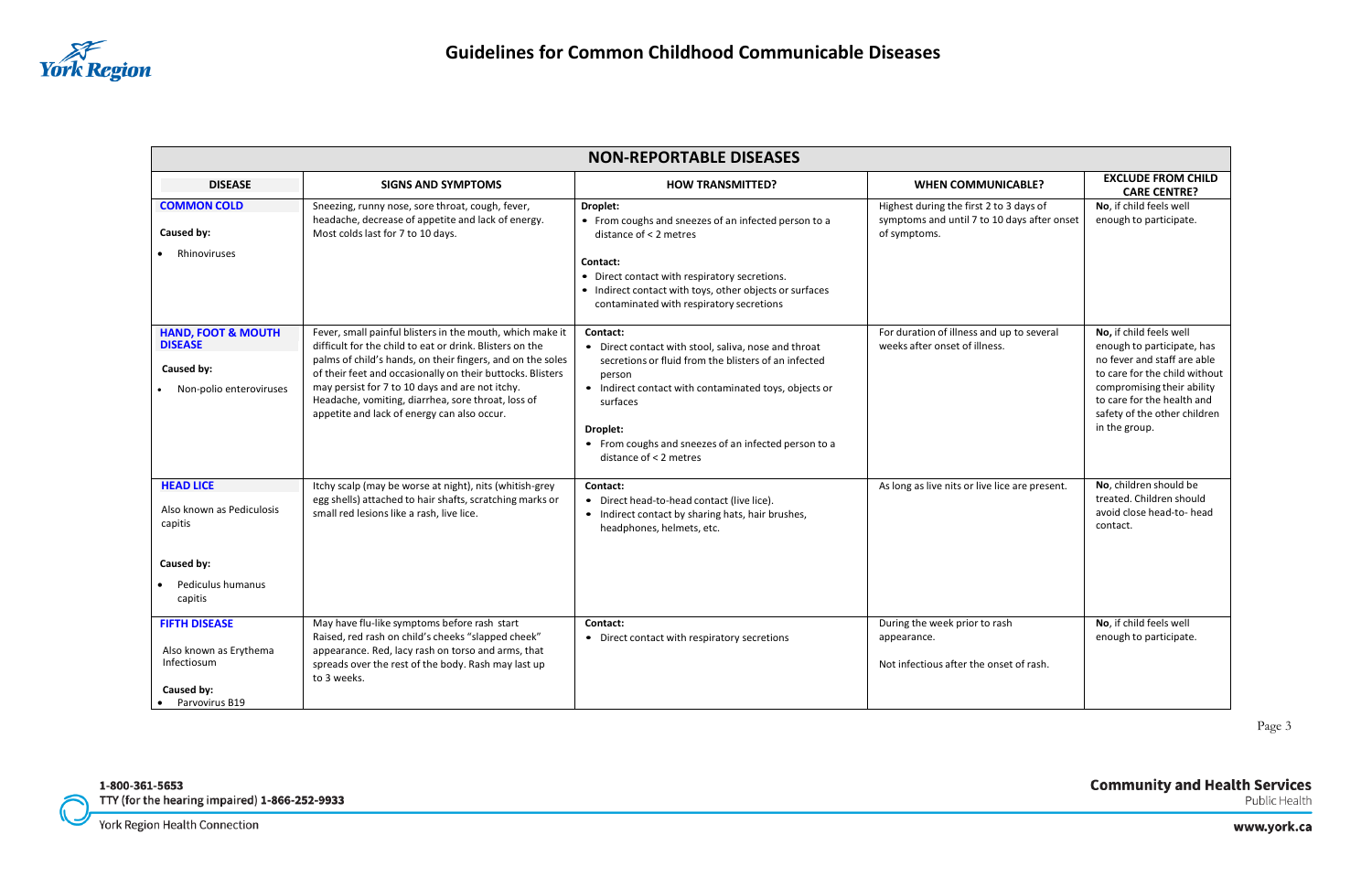

# **Community and Health Services**<br>Public Health

www.york.ca

| <b>NON-REPORTABLE DISEASES</b>                                                                         |                                                                                                                                                                                                                                                                                                                                                                                                           |                                                                                                                                                                                                                                                                                                       |                                                                                                        |                                                                                                                                                                                                                                    |
|--------------------------------------------------------------------------------------------------------|-----------------------------------------------------------------------------------------------------------------------------------------------------------------------------------------------------------------------------------------------------------------------------------------------------------------------------------------------------------------------------------------------------------|-------------------------------------------------------------------------------------------------------------------------------------------------------------------------------------------------------------------------------------------------------------------------------------------------------|--------------------------------------------------------------------------------------------------------|------------------------------------------------------------------------------------------------------------------------------------------------------------------------------------------------------------------------------------|
| <b>DISEASE</b>                                                                                         | <b>SIGNS AND SYMPTOMS</b>                                                                                                                                                                                                                                                                                                                                                                                 | <b>HOW TRANSMITTED?</b>                                                                                                                                                                                                                                                                               | <b>WHEN COMMUNICABLE?</b>                                                                              | <b>EXCLUDE FROM CHILD</b><br><b>CARE CENTRE?</b>                                                                                                                                                                                   |
| <b>COMMON COLD</b><br>Caused by:<br>Rhinoviruses                                                       | Sneezing, runny nose, sore throat, cough, fever,<br>headache, decrease of appetite and lack of energy.<br>Most colds last for 7 to 10 days.                                                                                                                                                                                                                                                               | <b>Droplet:</b><br>• From coughs and sneezes of an infected person to a<br>distance of < 2 metres<br>Contact:<br>• Direct contact with respiratory secretions.<br>• Indirect contact with toys, other objects or surfaces<br>contaminated with respiratory secretions                                 | Highest during the first 2 to 3 days of<br>symptoms and until 7 to 10 days after onset<br>of symptoms. | No, if child feels well<br>enough to participate.                                                                                                                                                                                  |
| <b>HAND, FOOT &amp; MOUTH</b><br><b>DISEASE</b><br>Caused by:<br>Non-polio enteroviruses               | Fever, small painful blisters in the mouth, which make it<br>difficult for the child to eat or drink. Blisters on the<br>palms of child's hands, on their fingers, and on the soles<br>of their feet and occasionally on their buttocks. Blisters<br>may persist for 7 to 10 days and are not itchy.<br>Headache, vomiting, diarrhea, sore throat, loss of<br>appetite and lack of energy can also occur. | Contact:<br>• Direct contact with stool, saliva, nose and throat<br>secretions or fluid from the blisters of an infected<br>person<br>• Indirect contact with contaminated toys, objects or<br>surfaces<br>Droplet:<br>• From coughs and sneezes of an infected person to a<br>distance of < 2 metres | For duration of illness and up to several<br>weeks after onset of illness.                             | No, if child feels well<br>enough to participate, has<br>no fever and staff are able<br>to care for the child without<br>compromising their ability<br>to care for the health and<br>safety of the other children<br>in the group. |
| <b>HEAD LICE</b><br>Also known as Pediculosis<br>capitis<br>Caused by:<br>Pediculus humanus<br>capitis | Itchy scalp (may be worse at night), nits (whitish-grey<br>egg shells) attached to hair shafts, scratching marks or<br>small red lesions like a rash, live lice.                                                                                                                                                                                                                                          | Contact:<br>• Direct head-to-head contact (live lice).<br>• Indirect contact by sharing hats, hair brushes,<br>headphones, helmets, etc.                                                                                                                                                              | As long as live nits or live lice are present.                                                         | No, children should be<br>treated. Children should<br>avoid close head-to- head<br>contact.                                                                                                                                        |
| <b>FIFTH DISEASE</b><br>Also known as Erythema<br>Infectiosum<br>Caused by:<br>Parvovirus B19          | May have flu-like symptoms before rash start<br>Raised, red rash on child's cheeks "slapped cheek"<br>appearance. Red, lacy rash on torso and arms, that<br>spreads over the rest of the body. Rash may last up<br>to 3 weeks.                                                                                                                                                                            | Contact:<br>• Direct contact with respiratory secretions                                                                                                                                                                                                                                              | During the week prior to rash<br>appearance.<br>Not infectious after the onset of rash.                | No, if child feels well<br>enough to participate.                                                                                                                                                                                  |